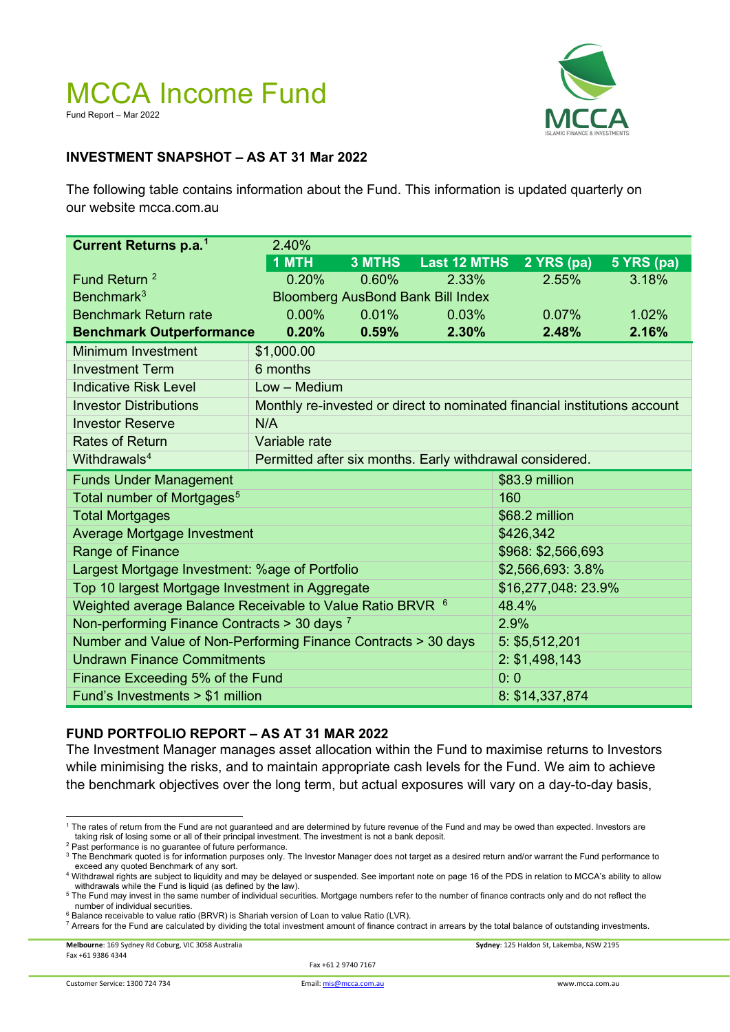### MCCA Income Fund Fund Report – Mar 2022



#### **INVESTMENT SNAPSHOT – AS AT 31 Mar 2022**

The following table contains information about the Fund. This information is updated quarterly on our website mcca.com.au

| Current Returns p.a. <sup>1</sup>                                    | 2.40%                                                                     |               |                     |                    |            |
|----------------------------------------------------------------------|---------------------------------------------------------------------------|---------------|---------------------|--------------------|------------|
|                                                                      | 1 MTH                                                                     | <b>3 MTHS</b> | <b>Last 12 MTHS</b> | 2 YRS (pa)         | 5 YRS (pa) |
| Fund Return <sup>2</sup>                                             | 0.20%                                                                     | 0.60%         | 2.33%               | 2.55%              | 3.18%      |
| Benchmark <sup>3</sup>                                               | <b>Bloomberg AusBond Bank Bill Index</b>                                  |               |                     |                    |            |
| <b>Benchmark Return rate</b>                                         | 0.00%                                                                     | 0.01%         | 0.03%               | 0.07%              | 1.02%      |
| <b>Benchmark Outperformance</b>                                      | 0.20%                                                                     | 0.59%         | 2.30%               | 2.48%              | 2.16%      |
| Minimum Investment                                                   | \$1,000.00                                                                |               |                     |                    |            |
| <b>Investment Term</b>                                               | 6 months                                                                  |               |                     |                    |            |
| <b>Indicative Risk Level</b>                                         | $Low - Medium$                                                            |               |                     |                    |            |
| <b>Investor Distributions</b>                                        | Monthly re-invested or direct to nominated financial institutions account |               |                     |                    |            |
| <b>Investor Reserve</b>                                              | N/A                                                                       |               |                     |                    |            |
| <b>Rates of Return</b>                                               | Variable rate                                                             |               |                     |                    |            |
| Withdrawals <sup>4</sup>                                             | Permitted after six months. Early withdrawal considered.                  |               |                     |                    |            |
| <b>Funds Under Management</b>                                        |                                                                           |               |                     | \$83.9 million     |            |
| Total number of Mortgages <sup>5</sup>                               |                                                                           |               |                     | 160                |            |
| <b>Total Mortgages</b>                                               |                                                                           |               |                     | \$68.2 million     |            |
| Average Mortgage Investment                                          |                                                                           |               |                     | \$426,342          |            |
| Range of Finance                                                     |                                                                           |               |                     | \$968: \$2,566,693 |            |
| Largest Mortgage Investment: %age of Portfolio                       |                                                                           |               |                     | \$2,566,693: 3.8%  |            |
| Top 10 largest Mortgage Investment in Aggregate                      |                                                                           |               |                     | \$16,277,048:23.9% |            |
| Weighted average Balance Receivable to Value Ratio BRVR <sup>6</sup> |                                                                           |               |                     | 48.4%              |            |
| Non-performing Finance Contracts $>$ 30 days $^7$                    |                                                                           |               |                     | 2.9%               |            |
| Number and Value of Non-Performing Finance Contracts > 30 days       |                                                                           |               |                     | 5: \$5,512,201     |            |
| <b>Undrawn Finance Commitments</b>                                   |                                                                           |               |                     | 2: \$1,498,143     |            |
| Finance Exceeding 5% of the Fund                                     |                                                                           |               |                     | 0:0                |            |
| Fund's Investments > \$1 million                                     |                                                                           |               |                     | 8: \$14,337,874    |            |

#### **FUND PORTFOLIO REPORT – AS AT 31 MAR 2022**

The Investment Manager manages asset allocation within the Fund to maximise returns to Investors while minimising the risks, and to maintain appropriate cash levels for the Fund. We aim to achieve the benchmark objectives over the long term, but actual exposures will vary on a day-to-day basis,

**Melbourne**: 169 Sydney Rd Coburg, VIC 3058 Australia **Sydney**: 125 Haldon St, Lakemba, NSW 2195 Fax +61 9386 4344

Fax +61 2 9740 7167

<span id="page-0-0"></span><sup>&</sup>lt;sup>1</sup> The rates of return from the Fund are not guaranteed and are determined by future revenue of the Fund and may be owed than expected. Investors are taking risk of losing some or all of their principal investment. The investment is not a bank deposit.

<span id="page-0-1"></span><sup>&</sup>lt;sup>2</sup> Past performance is no guarantee of future performance.

<span id="page-0-2"></span><sup>&</sup>lt;sup>3</sup> The Benchmark quoted is for information purposes only. The Investor Manager does not target as a desired return and/or warrant the Fund performance to exceed any quoted Benchmark of any sort. <sup>4</sup> Withdrawal rights are subject to liquidity and may be delayed or suspended. See important note on page 16 of the PDS in relation to MCCA's ability to allow

<span id="page-0-3"></span>withdrawals while the Fund is liquid (as defined by the law). <sup>5</sup> The Fund may invest in the same number of individual securities. Mortgage numbers refer to the number of finance contracts only and do not reflect the

<span id="page-0-4"></span>number of individual securities. <sup>6</sup> Balance receivable to value ratio (BRVR) is Shariah version of Loan to value Ratio (LVR).

<span id="page-0-6"></span><span id="page-0-5"></span> $^7$  Arrears for the Fund are calculated by dividing the total investment amount of finance contract in arrears by the total balance of outstanding investments.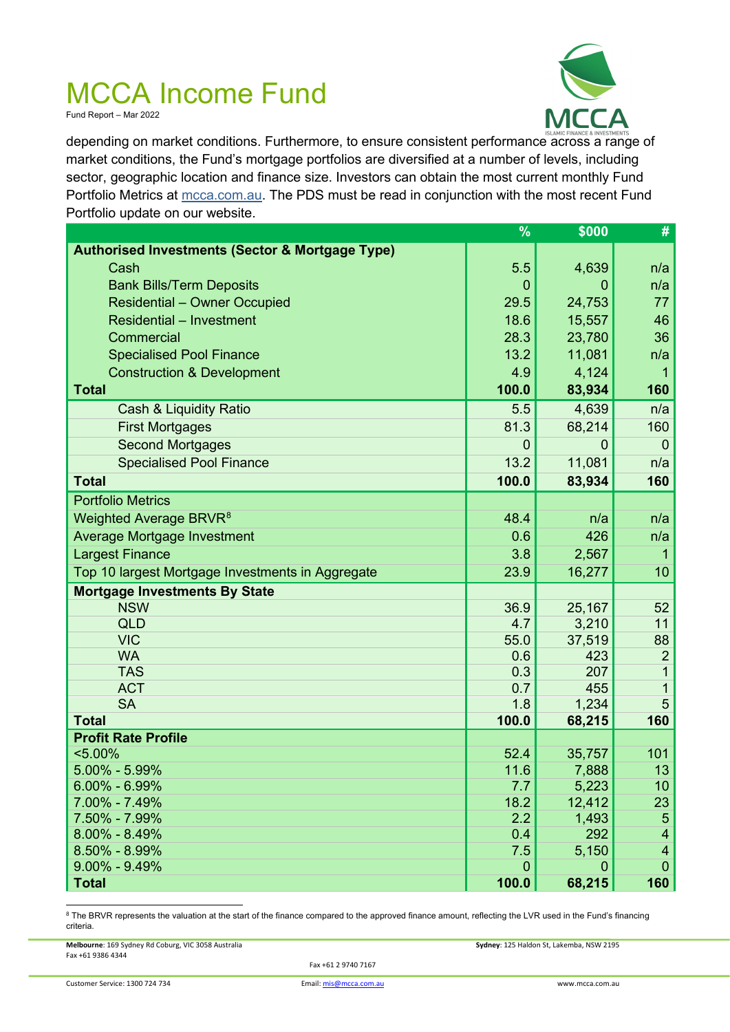Fund Report – Mar 2022



depending on market conditions. Furthermore, to ensure consistent performance across a range of market conditions, the Fund's mortgage portfolios are diversified at a number of levels, including sector, geographic location and finance size. Investors can obtain the most current monthly Fund Portfolio Metrics at mcca.com.au. The PDS must be read in conjunction with the most recent Fund Portfolio update on our website.

|                                                            | %              | \$000        | #                     |
|------------------------------------------------------------|----------------|--------------|-----------------------|
| <b>Authorised Investments (Sector &amp; Mortgage Type)</b> |                |              |                       |
| Cash                                                       | 5.5            | 4,639        | n/a                   |
| <b>Bank Bills/Term Deposits</b>                            | $\overline{0}$ | 0            | n/a                   |
| <b>Residential - Owner Occupied</b>                        | 29.5           | 24,753       | 77                    |
| <b>Residential - Investment</b>                            | 18.6           | 15,557       | 46                    |
| Commercial                                                 | 28.3           | 23,780       | 36                    |
| <b>Specialised Pool Finance</b>                            | 13.2           | 11,081       | n/a                   |
| <b>Construction &amp; Development</b>                      | 4.9            | 4,124        | 1                     |
| <b>Total</b>                                               | 100.0          | 83,934       | 160                   |
| Cash & Liquidity Ratio                                     | 5.5            | 4,639        | n/a                   |
| <b>First Mortgages</b>                                     | 81.3           | 68,214       | 160                   |
| <b>Second Mortgages</b>                                    | $\overline{0}$ | 0            | $\overline{0}$        |
| <b>Specialised Pool Finance</b>                            | 13.2           | 11,081       | n/a                   |
| <b>Total</b>                                               | 100.0          | 83,934       | 160                   |
| <b>Portfolio Metrics</b>                                   |                |              |                       |
| Weighted Average BRVR <sup>8</sup>                         | 48.4           | n/a          | n/a                   |
| Average Mortgage Investment                                | 0.6            | 426          | n/a                   |
| <b>Largest Finance</b>                                     | 3.8            | 2,567        | 1                     |
| Top 10 largest Mortgage Investments in Aggregate           | 23.9           | 16,277       | 10                    |
| <b>Mortgage Investments By State</b>                       |                |              |                       |
| <b>NSW</b>                                                 | 36.9           | 25,167       | 52                    |
| <b>QLD</b>                                                 | 4.7            | 3,210        | 11                    |
| <b>VIC</b>                                                 | 55.0           | 37,519       | 88                    |
| <b>WA</b>                                                  | 0.6            | 423          | $\overline{2}$        |
| <b>TAS</b>                                                 | 0.3            | 207          | 1                     |
| <b>ACT</b>                                                 | 0.7            | 455          | 1                     |
| <b>SA</b>                                                  | 1.8            | 1,234        | 5                     |
| <b>Total</b>                                               | 100.0          | 68,215       | 160                   |
| <b>Profit Rate Profile</b>                                 |                |              |                       |
| $< 5.00\%$                                                 | 52.4           | 35,757       | 101                   |
| $5.00\% - 5.99\%$                                          | 11.6           | 7,888        | 13                    |
| $6.00\% - 6.99\%$                                          | 7.7            | 5,223        | 10 <sup>°</sup>       |
| 7.00% - 7.49%<br>7.50% - 7.99%                             | 18.2<br>2.2    | 12,412       | 23<br>$5\phantom{.0}$ |
| $8.00\% - 8.49\%$                                          | 0.4            | 1,493<br>292 | $\overline{4}$        |
| 8.50% - 8.99%                                              | 7.5            | 5,150        | $\overline{4}$        |
| $9.00\% - 9.49\%$                                          | $\overline{0}$ | 0            | $\mathbf{0}$          |
| <b>Total</b>                                               | 100.0          | 68,215       | 160                   |

<span id="page-1-0"></span><sup>8</sup> The BRVR represents the valuation at the start of the finance compared to the approved finance amount, reflecting the LVR used in the Fund's financing criteria.

**Melbourne**: 169 Sydney Rd Coburg, VIC 3058 Australia **Sydney**: 125 Haldon St, Lakemba, NSW 2195 Fax +61 9386 4344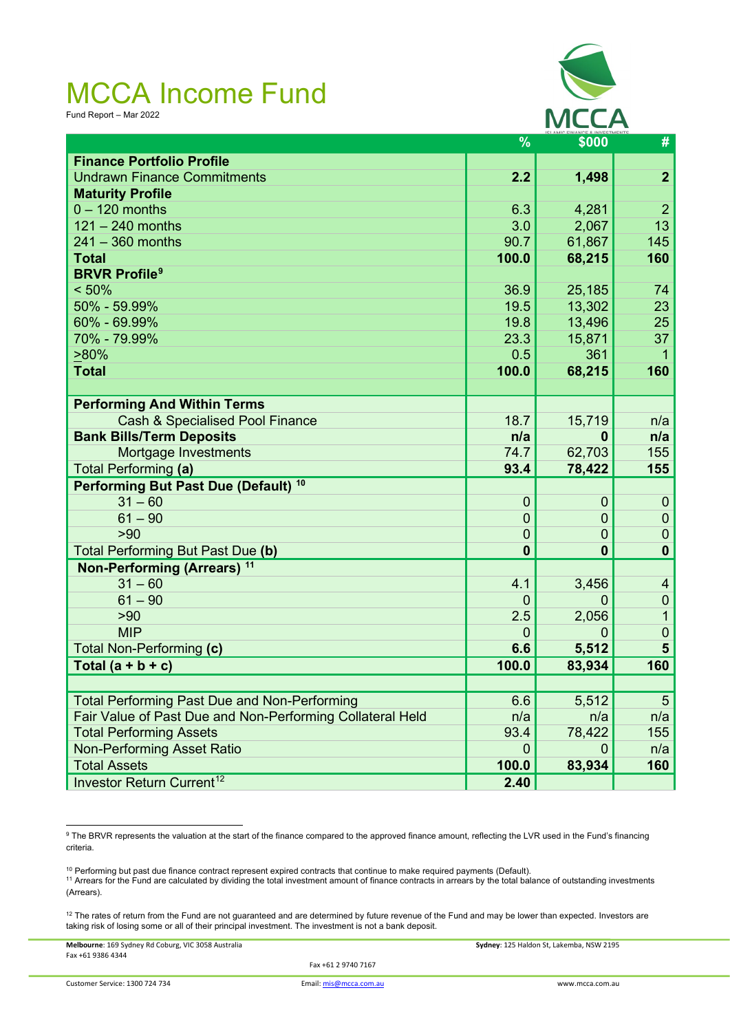Fund Report – Mar 2022



|                                                           | $\frac{9}{6}$  | \$000        | #               |
|-----------------------------------------------------------|----------------|--------------|-----------------|
| <b>Finance Portfolio Profile</b>                          |                |              |                 |
| <b>Undrawn Finance Commitments</b>                        | 2.2            | 1,498        | $\overline{2}$  |
| <b>Maturity Profile</b>                                   |                |              |                 |
| $0 - 120$ months                                          | 6.3            | 4,281        | $\overline{2}$  |
| $121 - 240$ months                                        | 3.0            | 2,067        | 13              |
| $241 - 360$ months                                        | 90.7           | 61,867       | 145             |
| <b>Total</b>                                              | 100.0          | 68,215       | 160             |
| <b>BRVR Profile<sup>9</sup></b>                           |                |              |                 |
| < 50%                                                     | 36.9           | 25,185       | 74              |
| 50% - 59.99%                                              | 19.5           | 13,302       | 23              |
| 60% - 69.99%                                              | 19.8           | 13,496       | 25              |
| 70% - 79.99%                                              | 23.3           | 15,871       | 37              |
| $>80\%$                                                   | 0.5            | 361          |                 |
| <b>Total</b>                                              | 100.0          | 68,215       | 160             |
|                                                           |                |              |                 |
| <b>Performing And Within Terms</b>                        |                |              |                 |
| <b>Cash &amp; Specialised Pool Finance</b>                | 18.7           | 15,719       | n/a             |
| <b>Bank Bills/Term Deposits</b>                           | n/a            | 0            | n/a             |
| Mortgage Investments                                      | 74.7           | 62,703       | 155             |
| <b>Total Performing (a)</b>                               | 93.4           | 78,422       | 155             |
| Performing But Past Due (Default) <sup>10</sup>           |                |              |                 |
| $31 - 60$                                                 | $\mathbf{0}$   | $\theta$     | $\theta$        |
| $61 - 90$                                                 | $\overline{0}$ | $\mathbf 0$  | $\mathbf 0$     |
| >90                                                       | $\mathbf 0$    | 0            | $\mathbf 0$     |
| Total Performing But Past Due (b)                         | $\bf{0}$       | $\mathbf{0}$ | $\mathbf 0$     |
| Non-Performing (Arrears) <sup>11</sup>                    |                |              |                 |
| $31 - 60$                                                 | 4.1            | 3,456        | $\overline{4}$  |
| $61 - 90$                                                 | $\overline{0}$ | 0            | $\pmb{0}$       |
| >90                                                       | 2.5            | 2,056        | $\mathbf 1$     |
| <b>MIP</b>                                                | $\overline{0}$ | $\Omega$     | $\mathbf 0$     |
| Total Non-Performing (c)                                  | 6.6            | 5,512        | $5\phantom{1}$  |
| Total $(a + b + c)$                                       | 100.0          | 83,934       | 160             |
|                                                           |                |              |                 |
| <b>Total Performing Past Due and Non-Performing</b>       | 6.6            | 5,512        | $5\phantom{.0}$ |
| Fair Value of Past Due and Non-Performing Collateral Held | n/a            | n/a          | n/a             |
| <b>Total Performing Assets</b>                            | 93.4           | 78,422       | 155             |
| <b>Non-Performing Asset Ratio</b>                         | $\mathbf 0$    | 0            | n/a             |
| <b>Total Assets</b>                                       | 100.0          | 83,934       | 160             |
| Investor Return Current <sup>12</sup>                     | 2.40           |              |                 |

<span id="page-2-0"></span><sup>9</sup> The BRVR represents the valuation at the start of the finance compared to the approved finance amount, reflecting the LVR used in the Fund's financing criteria.

<span id="page-2-1"></span><sup>10</sup> Performing but past due finance contract represent expired contracts that continue to make required payments (Default).

<span id="page-2-2"></span><sup>11</sup> Arrears for the Fund are calculated by dividing the total investment amount of finance contracts in arrears by the total balance of outstanding investments (Arrears).

<span id="page-2-3"></span> $12$  The rates of return from the Fund are not guaranteed and are determined by future revenue of the Fund and may be lower than expected. Investors are taking risk of losing some or all of their principal investment. The investment is not a bank deposit.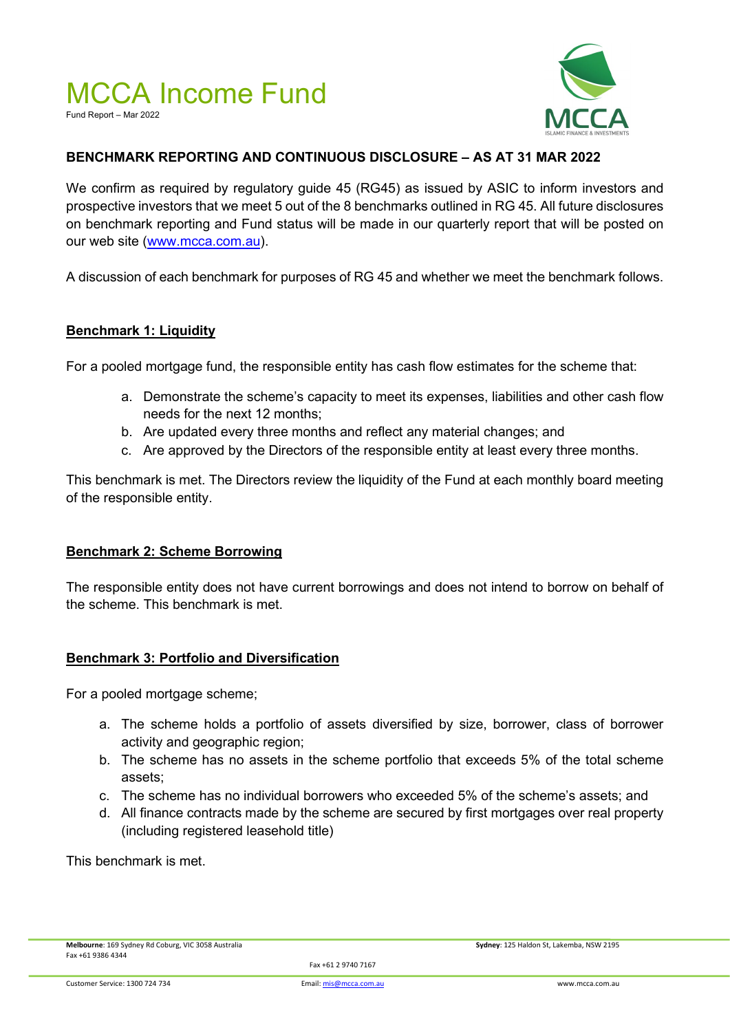Fund Report – Mar 2022



#### **BENCHMARK REPORTING AND CONTINUOUS DISCLOSURE – AS AT 31 MAR 2022**

We confirm as required by regulatory guide 45 (RG45) as issued by ASIC to inform investors and prospective investors that we meet 5 out of the 8 benchmarks outlined in RG 45. All future disclosures on benchmark reporting and Fund status will be made in our quarterly report that will be posted on our web site [\(www.mcca.com.au\)](http://www.mcca.com.au/).

A discussion of each benchmark for purposes of RG 45 and whether we meet the benchmark follows.

#### **Benchmark 1: Liquidity**

For a pooled mortgage fund, the responsible entity has cash flow estimates for the scheme that:

- a. Demonstrate the scheme's capacity to meet its expenses, liabilities and other cash flow needs for the next 12 months;
- b. Are updated every three months and reflect any material changes; and
- c. Are approved by the Directors of the responsible entity at least every three months.

This benchmark is met. The Directors review the liquidity of the Fund at each monthly board meeting of the responsible entity.

#### **Benchmark 2: Scheme Borrowing**

The responsible entity does not have current borrowings and does not intend to borrow on behalf of the scheme. This benchmark is met.

#### **Benchmark 3: Portfolio and Diversification**

For a pooled mortgage scheme:

- a. The scheme holds a portfolio of assets diversified by size, borrower, class of borrower activity and geographic region;
- b. The scheme has no assets in the scheme portfolio that exceeds 5% of the total scheme assets;
- c. The scheme has no individual borrowers who exceeded 5% of the scheme's assets; and
- d. All finance contracts made by the scheme are secured by first mortgages over real property (including registered leasehold title)

This benchmark is met.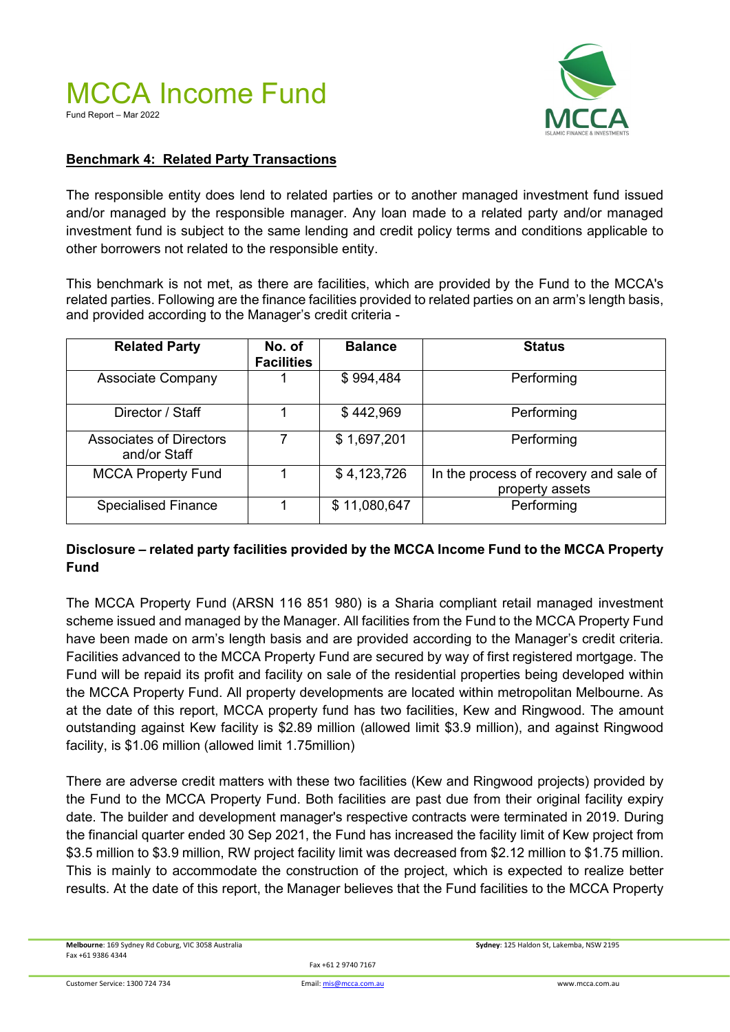

#### **Benchmark 4: Related Party Transactions**

The responsible entity does lend to related parties or to another managed investment fund issued and/or managed by the responsible manager. Any loan made to a related party and/or managed investment fund is subject to the same lending and credit policy terms and conditions applicable to other borrowers not related to the responsible entity.

This benchmark is not met, as there are facilities, which are provided by the Fund to the MCCA's related parties. Following are the finance facilities provided to related parties on an arm's length basis, and provided according to the Manager's credit criteria -

| <b>Related Party</b>                           | No. of<br><b>Facilities</b> | <b>Balance</b> | <b>Status</b>                                             |
|------------------------------------------------|-----------------------------|----------------|-----------------------------------------------------------|
| <b>Associate Company</b>                       |                             | \$994,484      | Performing                                                |
| Director / Staff                               |                             | \$442,969      | Performing                                                |
| <b>Associates of Directors</b><br>and/or Staff |                             | \$1,697,201    | Performing                                                |
| <b>MCCA Property Fund</b>                      |                             | \$4,123,726    | In the process of recovery and sale of<br>property assets |
| <b>Specialised Finance</b>                     |                             | \$11,080,647   | Performing                                                |

#### **Disclosure – related party facilities provided by the MCCA Income Fund to the MCCA Property Fund**

The MCCA Property Fund (ARSN 116 851 980) is a Sharia compliant retail managed investment scheme issued and managed by the Manager. All facilities from the Fund to the MCCA Property Fund have been made on arm's length basis and are provided according to the Manager's credit criteria. Facilities advanced to the MCCA Property Fund are secured by way of first registered mortgage. The Fund will be repaid its profit and facility on sale of the residential properties being developed within the MCCA Property Fund. All property developments are located within metropolitan Melbourne. As at the date of this report, MCCA property fund has two facilities, Kew and Ringwood. The amount outstanding against Kew facility is \$2.89 million (allowed limit \$3.9 million), and against Ringwood facility, is \$1.06 million (allowed limit 1.75million)

There are adverse credit matters with these two facilities (Kew and Ringwood projects) provided by the Fund to the MCCA Property Fund. Both facilities are past due from their original facility expiry date. The builder and development manager's respective contracts were terminated in 2019. During the financial quarter ended 30 Sep 2021, the Fund has increased the facility limit of Kew project from \$3.5 million to \$3.9 million, RW project facility limit was decreased from \$2.12 million to \$1.75 million. This is mainly to accommodate the construction of the project, which is expected to realize better results. At the date of this report, the Manager believes that the Fund facilities to the MCCA Property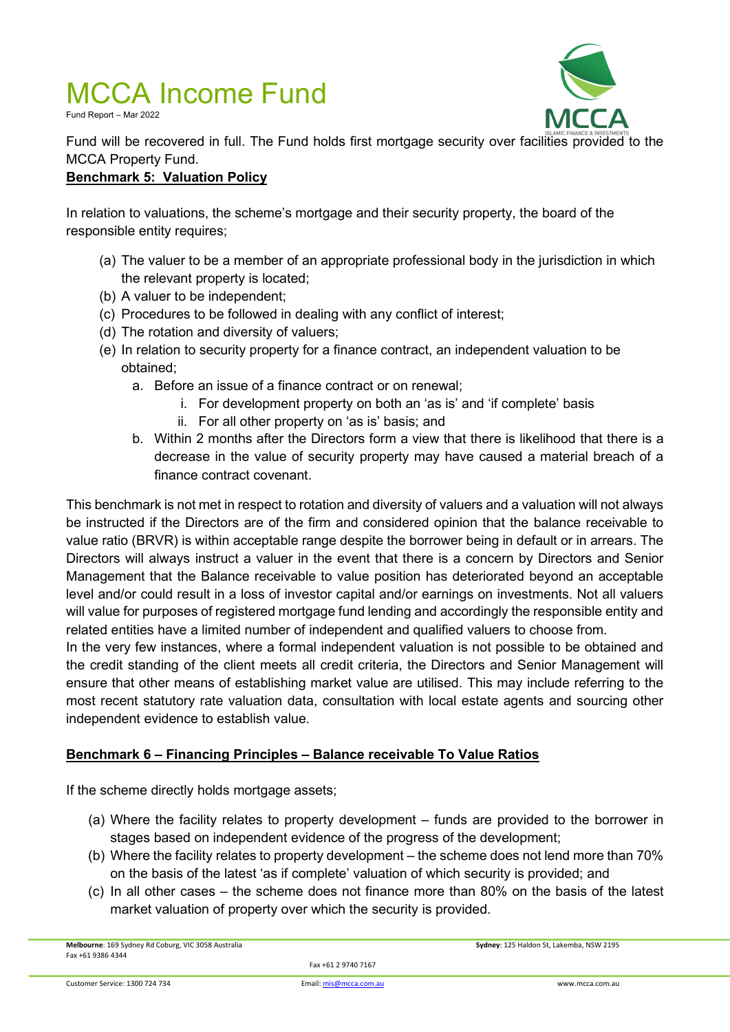Fund Report – Mar 2022



Fund will be recovered in full. The Fund holds first mortgage security over facilities provided to the MCCA Property Fund.

#### **Benchmark 5: Valuation Policy**

In relation to valuations, the scheme's mortgage and their security property, the board of the responsible entity requires;

- (a) The valuer to be a member of an appropriate professional body in the jurisdiction in which the relevant property is located;
- (b) A valuer to be independent;
- (c) Procedures to be followed in dealing with any conflict of interest;
- (d) The rotation and diversity of valuers;
- (e) In relation to security property for a finance contract, an independent valuation to be obtained;
	- a. Before an issue of a finance contract or on renewal;
		- i. For development property on both an 'as is' and 'if complete' basis
		- ii. For all other property on 'as is' basis; and
	- b. Within 2 months after the Directors form a view that there is likelihood that there is a decrease in the value of security property may have caused a material breach of a finance contract covenant.

This benchmark is not met in respect to rotation and diversity of valuers and a valuation will not always be instructed if the Directors are of the firm and considered opinion that the balance receivable to value ratio (BRVR) is within acceptable range despite the borrower being in default or in arrears. The Directors will always instruct a valuer in the event that there is a concern by Directors and Senior Management that the Balance receivable to value position has deteriorated beyond an acceptable level and/or could result in a loss of investor capital and/or earnings on investments. Not all valuers will value for purposes of registered mortgage fund lending and accordingly the responsible entity and related entities have a limited number of independent and qualified valuers to choose from.

In the very few instances, where a formal independent valuation is not possible to be obtained and the credit standing of the client meets all credit criteria, the Directors and Senior Management will ensure that other means of establishing market value are utilised. This may include referring to the most recent statutory rate valuation data, consultation with local estate agents and sourcing other independent evidence to establish value.

#### **Benchmark 6 – Financing Principles – Balance receivable To Value Ratios**

If the scheme directly holds mortgage assets;

- (a) Where the facility relates to property development funds are provided to the borrower in stages based on independent evidence of the progress of the development;
- (b) Where the facility relates to property development the scheme does not lend more than 70% on the basis of the latest 'as if complete' valuation of which security is provided; and
- (c) In all other cases the scheme does not finance more than 80% on the basis of the latest market valuation of property over which the security is provided.

**Melbourne**: 169 Sydney Rd Coburg, VIC 3058 Australia **Sydney**: 125 Haldon St, Lakemba, NSW 2195 Fax +61 9386 4344